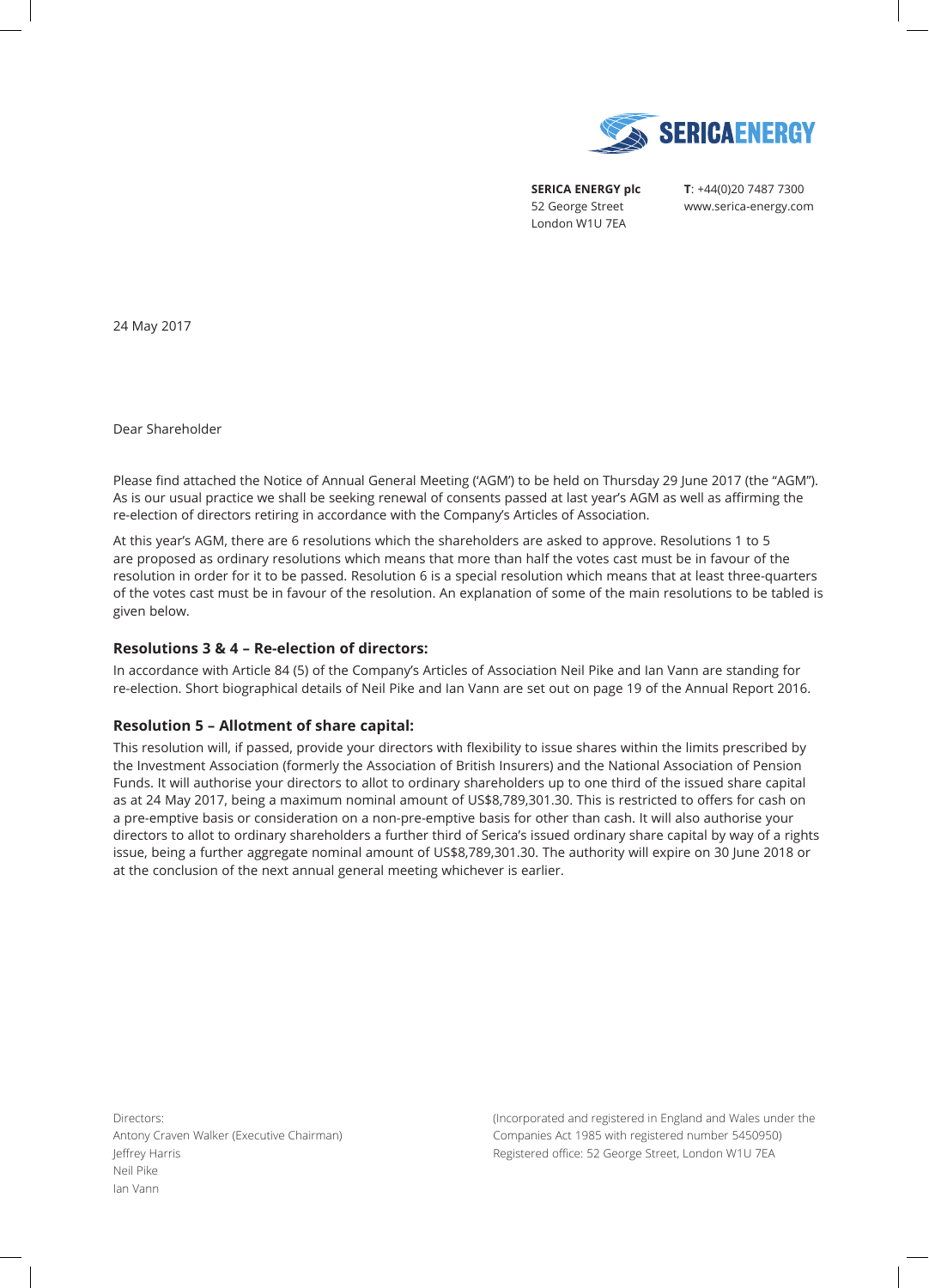

**SERICA ENERGY plc**  52 George Street London W1U 7EA

**T**: +44(0)20 7487 7300 www.serica-energy.com

24 May 2017

Dear Shareholder

Please find attached the Notice of Annual General Meeting ('AGM') to be held on Thursday 29 June 2017 (the "AGM"). As is our usual practice we shall be seeking renewal of consents passed at last year's AGM as well as affirming the re-election of directors retiring in accordance with the Company's Articles of Association.

At this year's AGM, there are 6 resolutions which the shareholders are asked to approve. Resolutions 1 to 5 are proposed as ordinary resolutions which means that more than half the votes cast must be in favour of the resolution in order for it to be passed. Resolution 6 is a special resolution which means that at least three-quarters of the votes cast must be in favour of the resolution. An explanation of some of the main resolutions to be tabled is given below.

# **Resolutions 3 & 4 – Re-election of directors:**

In accordance with Article 84 (5) of the Company's Articles of Association Neil Pike and Ian Vann are standing for re-election. Short biographical details of Neil Pike and Ian Vann are set out on page 19 of the Annual Report 2016.

# **Resolution 5 – Allotment of share capital:**

This resolution will, if passed, provide your directors with flexibility to issue shares within the limits prescribed by the Investment Association (formerly the Association of British Insurers) and the National Association of Pension Funds. It will authorise your directors to allot to ordinary shareholders up to one third of the issued share capital as at 24 May 2017, being a maximum nominal amount of US\$8,789,301.30. This is restricted to offers for cash on a pre-emptive basis or consideration on a non-pre-emptive basis for other than cash. It will also authorise your directors to allot to ordinary shareholders a further third of Serica's issued ordinary share capital by way of a rights issue, being a further aggregate nominal amount of US\$8,789,301.30. The authority will expire on 30 June 2018 or at the conclusion of the next annual general meeting whichever is earlier.

Directors: Antony Craven Walker (Executive Chairman) Jeffrey Harris Neil Pike Ian Vann

(Incorporated and registered in England and Wales under the Companies Act 1985 with registered number 5450950) Registered office: 52 George Street, London W1U 7EA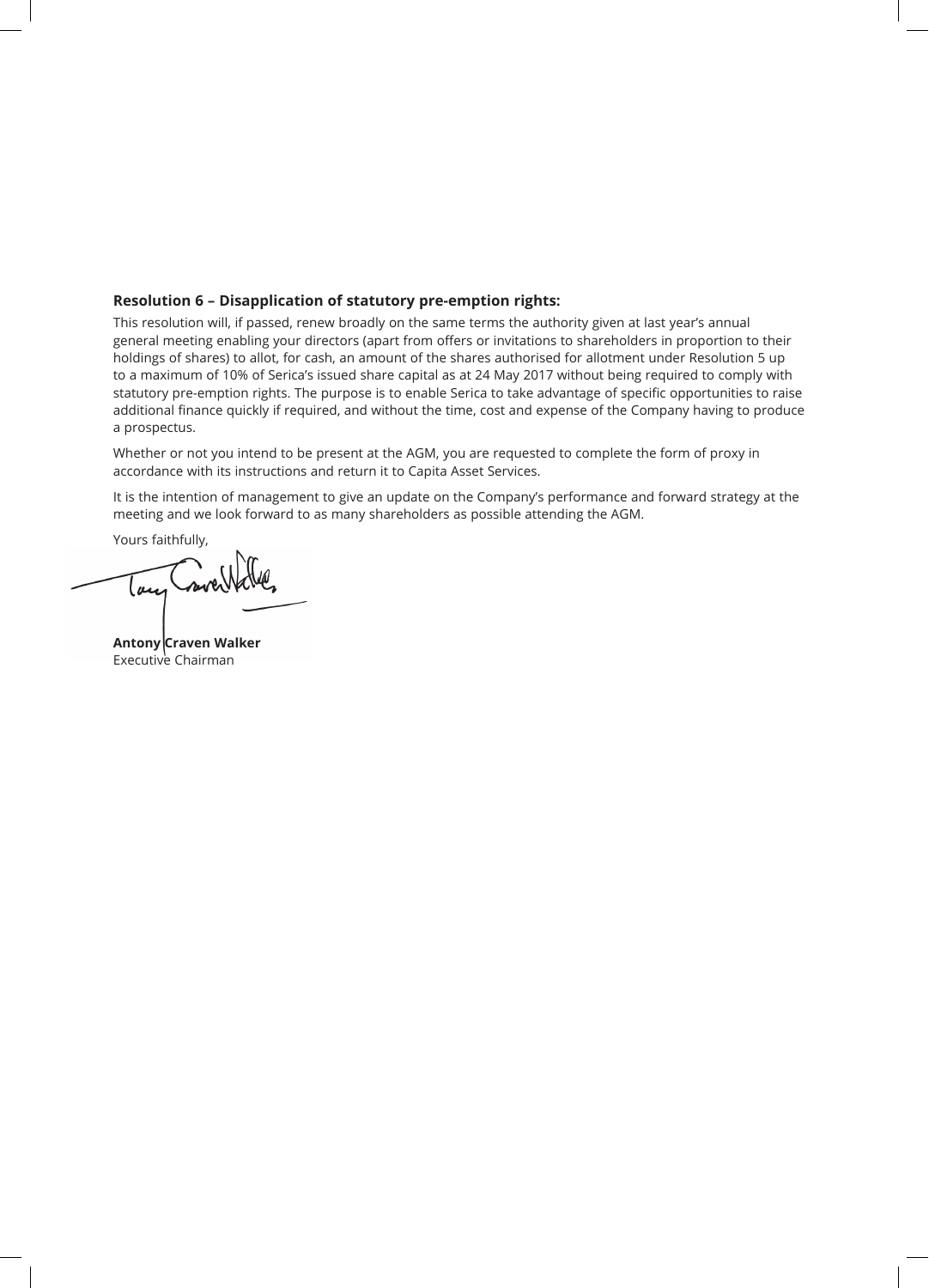## **Resolution 6 – Disapplication of statutory pre-emption rights:**

This resolution will, if passed, renew broadly on the same terms the authority given at last year's annual general meeting enabling your directors (apart from offers or invitations to shareholders in proportion to their holdings of shares) to allot, for cash, an amount of the shares authorised for allotment under Resolution 5 up to a maximum of 10% of Serica's issued share capital as at 24 May 2017 without being required to comply with statutory pre-emption rights. The purpose is to enable Serica to take advantage of specific opportunities to raise additional finance quickly if required, and without the time, cost and expense of the Company having to produce a prospectus.

Whether or not you intend to be present at the AGM, you are requested to complete the form of proxy in accordance with its instructions and return it to Capita Asset Services.

It is the intention of management to give an update on the Company's performance and forward strategy at the meeting and we look forward to as many shareholders as possible attending the AGM.

Yours faithfully,

lau

**Antony Craven Walker** Executive Chairman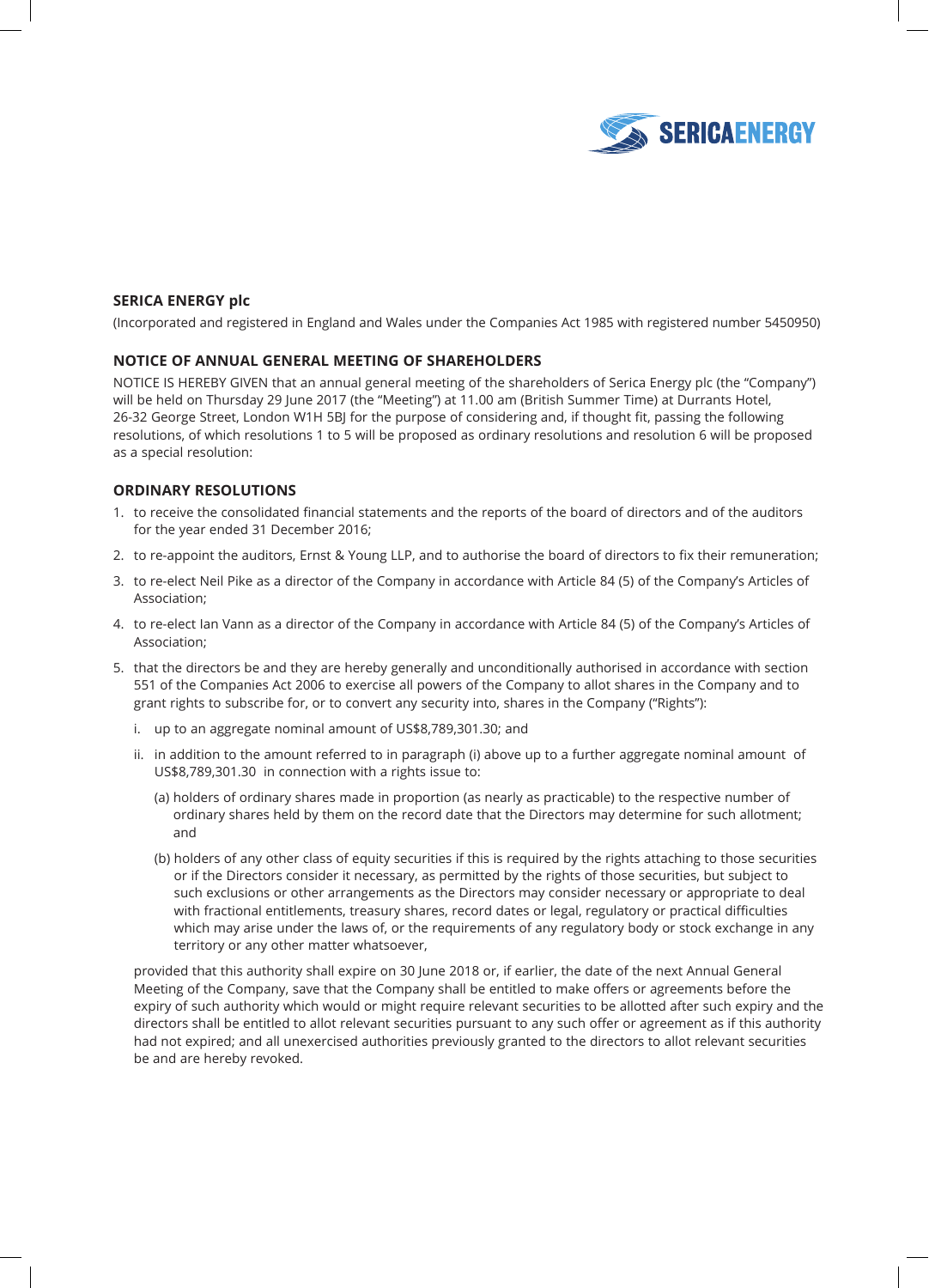

## **SERICA ENERGY plc**

(Incorporated and registered in England and Wales under the Companies Act 1985 with registered number 5450950)

#### **NOTICE OF ANNUAL GENERAL MEETING OF SHAREHOLDERS**

NOTICE IS HEREBY GIVEN that an annual general meeting of the shareholders of Serica Energy plc (the "Company") will be held on Thursday 29 June 2017 (the "Meeting") at 11.00 am (British Summer Time) at Durrants Hotel, 26-32 George Street, London W1H 5BJ for the purpose of considering and, if thought fit, passing the following resolutions, of which resolutions 1 to 5 will be proposed as ordinary resolutions and resolution 6 will be proposed as a special resolution:

### **ORDINARY RESOLUTIONS**

- 1. to receive the consolidated financial statements and the reports of the board of directors and of the auditors for the year ended 31 December 2016;
- 2. to re-appoint the auditors, Ernst & Young LLP, and to authorise the board of directors to fix their remuneration;
- 3. to re-elect Neil Pike as a director of the Company in accordance with Article 84 (5) of the Company's Articles of Association;
- 4. to re-elect Ian Vann as a director of the Company in accordance with Article 84 (5) of the Company's Articles of Association;
- 5. that the directors be and they are hereby generally and unconditionally authorised in accordance with section 551 of the Companies Act 2006 to exercise all powers of the Company to allot shares in the Company and to grant rights to subscribe for, or to convert any security into, shares in the Company ("Rights"):
	- i. up to an aggregate nominal amount of US\$8,789,301.30; and
	- ii. in addition to the amount referred to in paragraph (i) above up to a further aggregate nominal amount of US\$8,789,301.30 in connection with a rights issue to:
		- (a) holders of ordinary shares made in proportion (as nearly as practicable) to the respective number of ordinary shares held by them on the record date that the Directors may determine for such allotment; and
		- (b) holders of any other class of equity securities if this is required by the rights attaching to those securities or if the Directors consider it necessary, as permitted by the rights of those securities, but subject to such exclusions or other arrangements as the Directors may consider necessary or appropriate to deal with fractional entitlements, treasury shares, record dates or legal, regulatory or practical difficulties which may arise under the laws of, or the requirements of any regulatory body or stock exchange in any territory or any other matter whatsoever,

 provided that this authority shall expire on 30 June 2018 or, if earlier, the date of the next Annual General Meeting of the Company, save that the Company shall be entitled to make offers or agreements before the expiry of such authority which would or might require relevant securities to be allotted after such expiry and the directors shall be entitled to allot relevant securities pursuant to any such offer or agreement as if this authority had not expired; and all unexercised authorities previously granted to the directors to allot relevant securities be and are hereby revoked.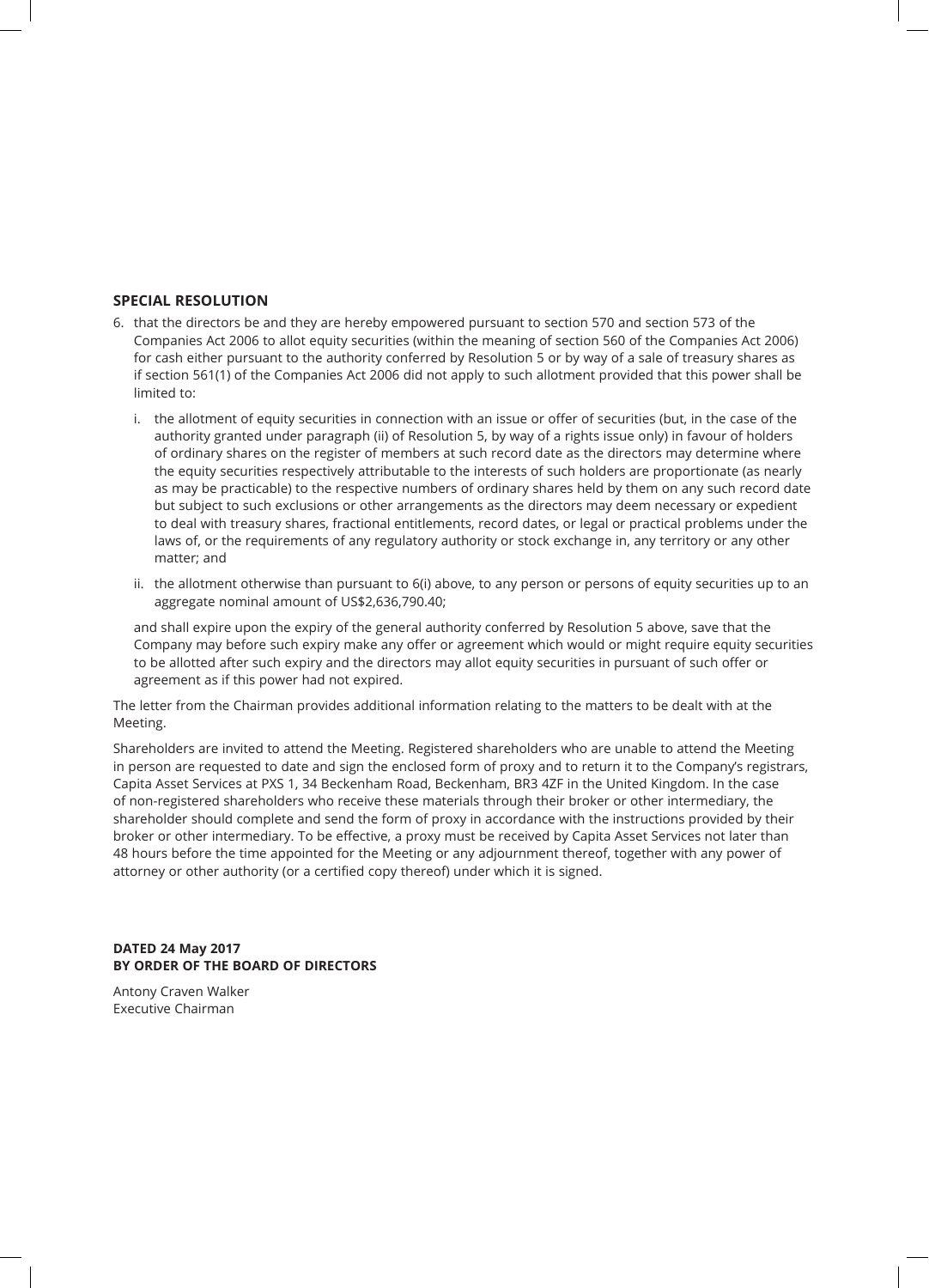#### **SPECIAL RESOLUTION**

- 6. that the directors be and they are hereby empowered pursuant to section 570 and section 573 of the Companies Act 2006 to allot equity securities (within the meaning of section 560 of the Companies Act 2006) for cash either pursuant to the authority conferred by Resolution 5 or by way of a sale of treasury shares as if section 561(1) of the Companies Act 2006 did not apply to such allotment provided that this power shall be limited to:
	- i. the allotment of equity securities in connection with an issue or offer of securities (but, in the case of the authority granted under paragraph (ii) of Resolution 5, by way of a rights issue only) in favour of holders of ordinary shares on the register of members at such record date as the directors may determine where the equity securities respectively attributable to the interests of such holders are proportionate (as nearly as may be practicable) to the respective numbers of ordinary shares held by them on any such record date but subject to such exclusions or other arrangements as the directors may deem necessary or expedient to deal with treasury shares, fractional entitlements, record dates, or legal or practical problems under the laws of, or the requirements of any regulatory authority or stock exchange in, any territory or any other matter; and
	- ii. the allotment otherwise than pursuant to 6(i) above, to any person or persons of equity securities up to an aggregate nominal amount of US\$2,636,790.40;

 and shall expire upon the expiry of the general authority conferred by Resolution 5 above, save that the Company may before such expiry make any offer or agreement which would or might require equity securities to be allotted after such expiry and the directors may allot equity securities in pursuant of such offer or agreement as if this power had not expired.

The letter from the Chairman provides additional information relating to the matters to be dealt with at the Meeting.

Shareholders are invited to attend the Meeting. Registered shareholders who are unable to attend the Meeting in person are requested to date and sign the enclosed form of proxy and to return it to the Company's registrars, Capita Asset Services at PXS 1, 34 Beckenham Road, Beckenham, BR3 4ZF in the United Kingdom. In the case of non-registered shareholders who receive these materials through their broker or other intermediary, the shareholder should complete and send the form of proxy in accordance with the instructions provided by their broker or other intermediary. To be effective, a proxy must be received by Capita Asset Services not later than 48 hours before the time appointed for the Meeting or any adjournment thereof, together with any power of attorney or other authority (or a certified copy thereof) under which it is signed.

### **DATED 24 May 2017 BY ORDER OF THE BOARD OF DIRECTORS**

Antony Craven Walker Executive Chairman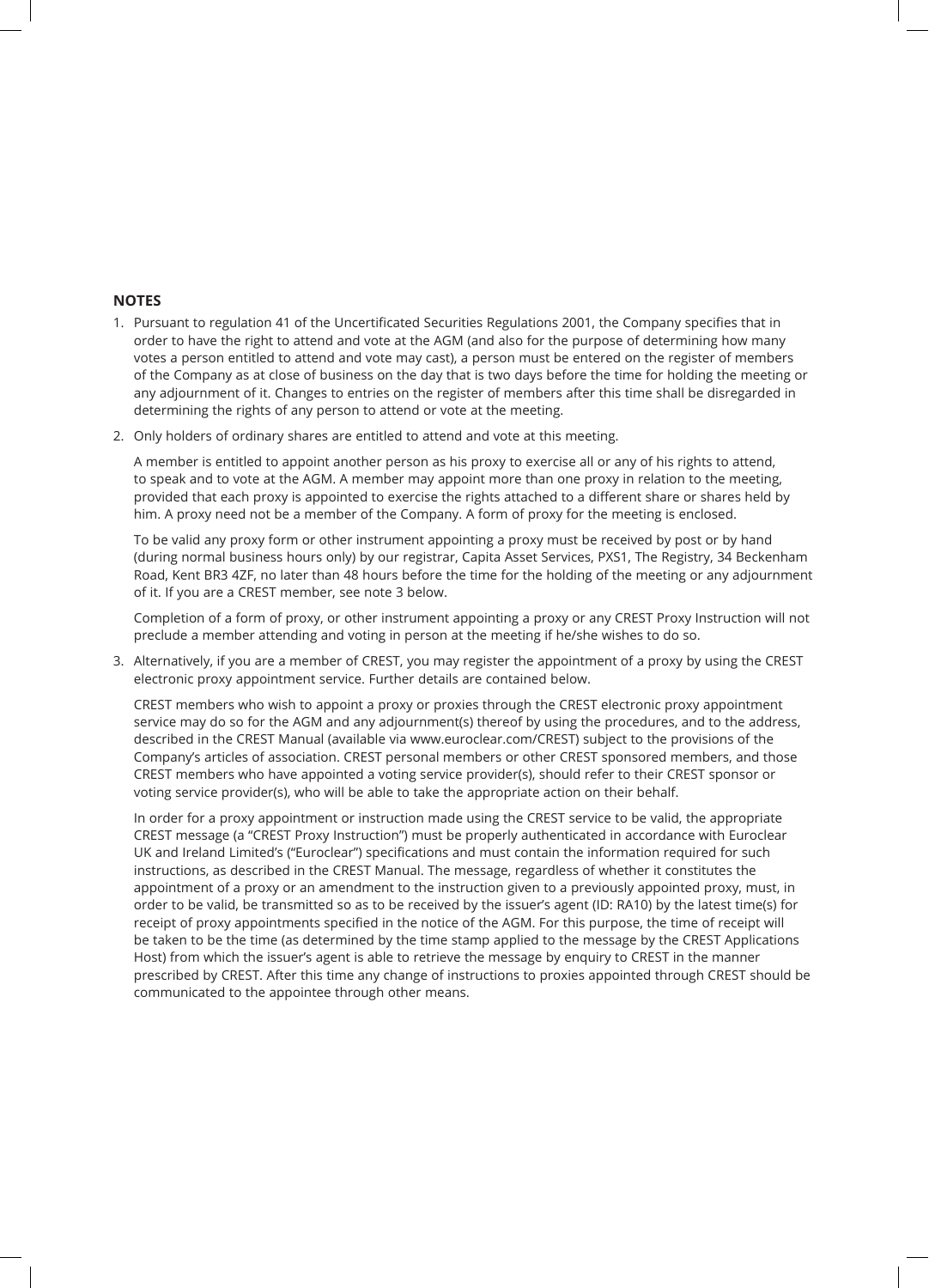#### **NOTES**

- 1. Pursuant to regulation 41 of the Uncertificated Securities Regulations 2001, the Company specifies that in order to have the right to attend and vote at the AGM (and also for the purpose of determining how many votes a person entitled to attend and vote may cast), a person must be entered on the register of members of the Company as at close of business on the day that is two days before the time for holding the meeting or any adjournment of it. Changes to entries on the register of members after this time shall be disregarded in determining the rights of any person to attend or vote at the meeting.
- 2. Only holders of ordinary shares are entitled to attend and vote at this meeting.

 A member is entitled to appoint another person as his proxy to exercise all or any of his rights to attend, to speak and to vote at the AGM. A member may appoint more than one proxy in relation to the meeting, provided that each proxy is appointed to exercise the rights attached to a different share or shares held by him. A proxy need not be a member of the Company. A form of proxy for the meeting is enclosed.

 To be valid any proxy form or other instrument appointing a proxy must be received by post or by hand (during normal business hours only) by our registrar, Capita Asset Services, PXS1, The Registry, 34 Beckenham Road, Kent BR3 4ZF, no later than 48 hours before the time for the holding of the meeting or any adjournment of it. If you are a CREST member, see note 3 below.

 Completion of a form of proxy, or other instrument appointing a proxy or any CREST Proxy Instruction will not preclude a member attending and voting in person at the meeting if he/she wishes to do so.

3. Alternatively, if you are a member of CREST, you may register the appointment of a proxy by using the CREST electronic proxy appointment service. Further details are contained below.

 CREST members who wish to appoint a proxy or proxies through the CREST electronic proxy appointment service may do so for the AGM and any adjournment(s) thereof by using the procedures, and to the address, described in the CREST Manual (available via www.euroclear.com/CREST) subject to the provisions of the Company's articles of association. CREST personal members or other CREST sponsored members, and those CREST members who have appointed a voting service provider(s), should refer to their CREST sponsor or voting service provider(s), who will be able to take the appropriate action on their behalf.

 In order for a proxy appointment or instruction made using the CREST service to be valid, the appropriate CREST message (a "CREST Proxy Instruction") must be properly authenticated in accordance with Euroclear UK and Ireland Limited's ("Euroclear") specifications and must contain the information required for such instructions, as described in the CREST Manual. The message, regardless of whether it constitutes the appointment of a proxy or an amendment to the instruction given to a previously appointed proxy, must, in order to be valid, be transmitted so as to be received by the issuer's agent (ID: RA10) by the latest time(s) for receipt of proxy appointments specified in the notice of the AGM. For this purpose, the time of receipt will be taken to be the time (as determined by the time stamp applied to the message by the CREST Applications Host) from which the issuer's agent is able to retrieve the message by enquiry to CREST in the manner prescribed by CREST. After this time any change of instructions to proxies appointed through CREST should be communicated to the appointee through other means.